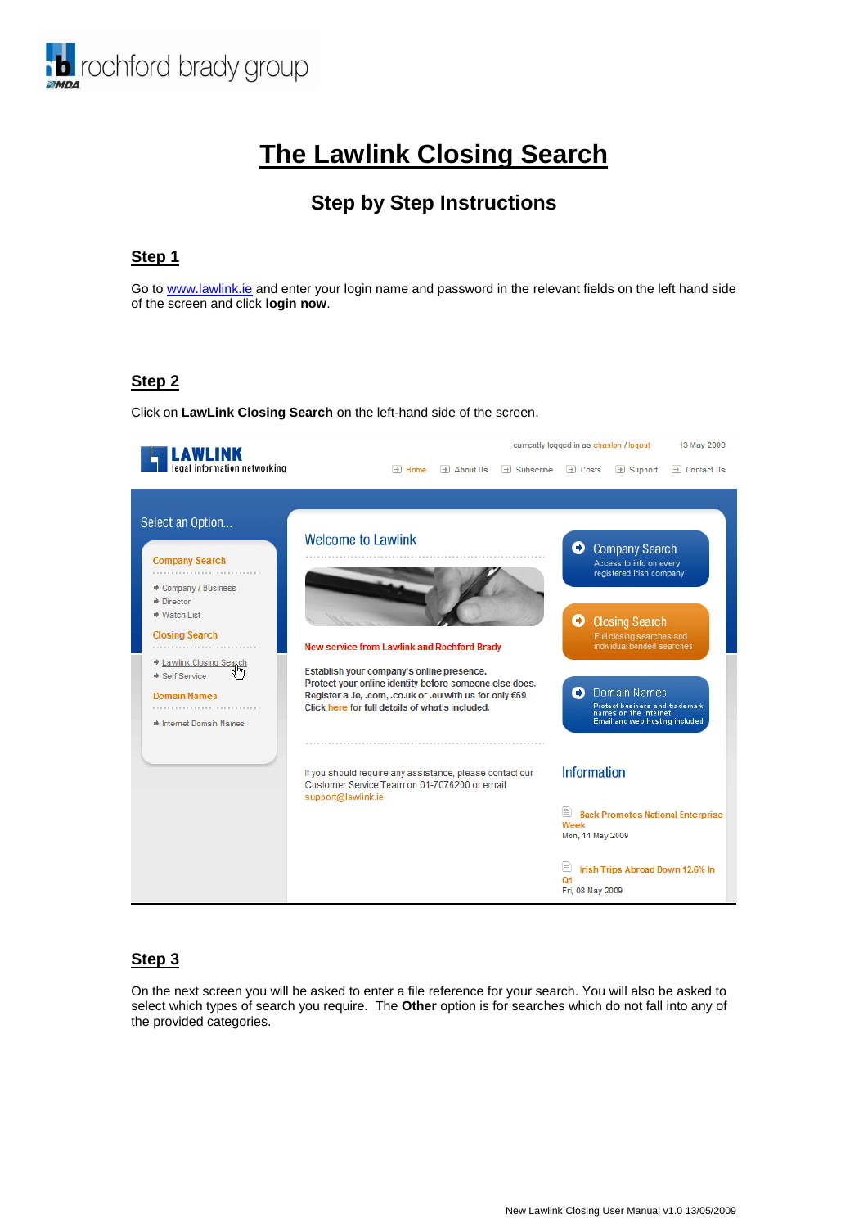

# **The Lawlink Closing Search**

# **Step by Step Instructions**

### **Step 1**

Go t[o www.lawlink.ie](http://www.lawlink.ie/) and enter your login name and password in the relevant fields on the left hand side of the screen and click **login now**.

# **Step 2**

Click on **LawLink Closing Search** on the left-hand side of the screen.



#### **Step 3**

On the next screen you will be asked to enter a file reference for your search. You will also be asked to select which types of search you require. The **Other** option is for searches which do not fall into any of the provided categories.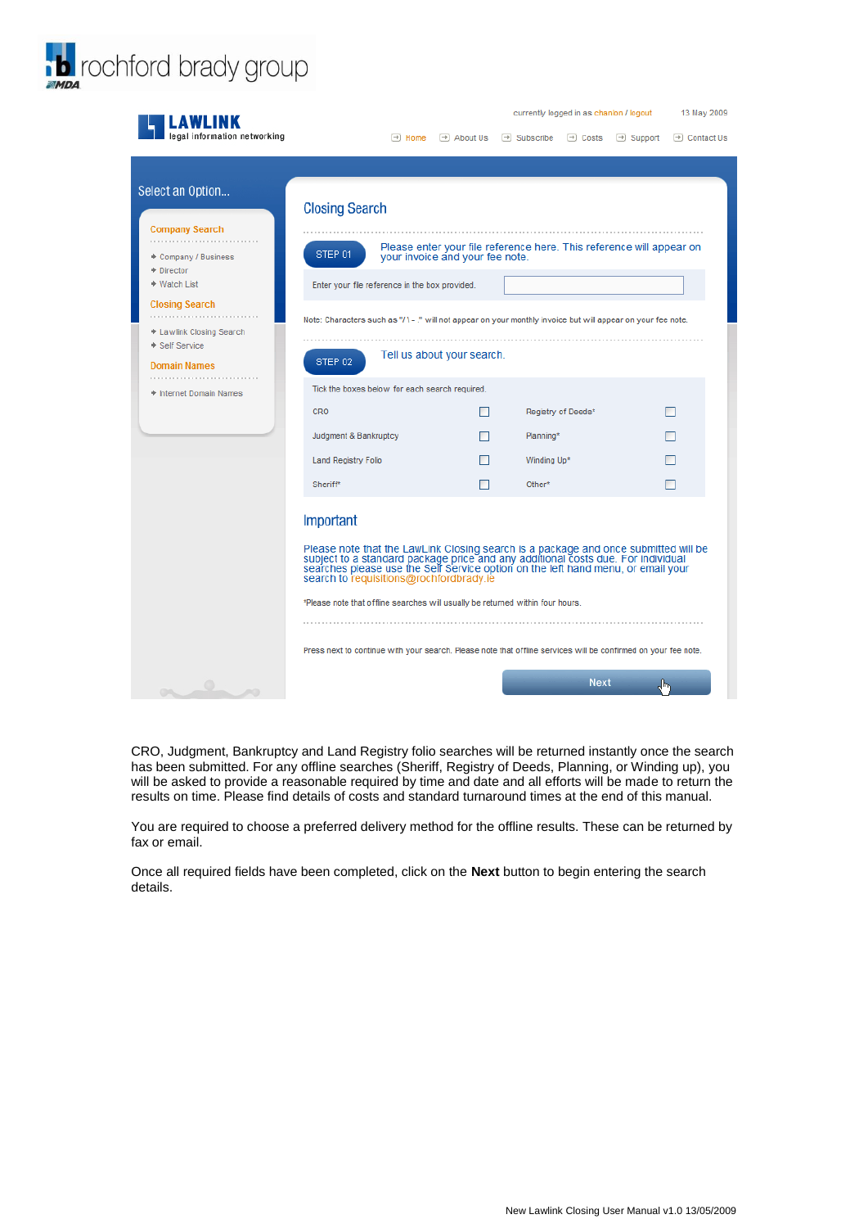

| AWLINK                                                                                                                                                                                           |                                                                                                                                                                                                                                                                                                                                                                                                                                                                                                                         |                    |                                                               |                                                                      | currently logged in as chanlon / logout |                       | 13 May 2009       |
|--------------------------------------------------------------------------------------------------------------------------------------------------------------------------------------------------|-------------------------------------------------------------------------------------------------------------------------------------------------------------------------------------------------------------------------------------------------------------------------------------------------------------------------------------------------------------------------------------------------------------------------------------------------------------------------------------------------------------------------|--------------------|---------------------------------------------------------------|----------------------------------------------------------------------|-----------------------------------------|-----------------------|-------------------|
| legal information networking                                                                                                                                                                     |                                                                                                                                                                                                                                                                                                                                                                                                                                                                                                                         | $\rightarrow$ Home | $\rightarrow$ About Us                                        | $\rightarrow$ Subscribe                                              | $\rightarrow$ Costs                     | $\rightarrow$ Support | $\Box$ Contact Us |
|                                                                                                                                                                                                  |                                                                                                                                                                                                                                                                                                                                                                                                                                                                                                                         |                    |                                                               |                                                                      |                                         |                       |                   |
| Select an Option<br><b>Company Search</b><br>◆ Company / Business<br>$\div$ Director<br>→ Watch List<br><b>Closing Search</b><br>+ Lawlink Closing Search<br>Self Service<br><b>Domain Names</b> | <b>Closing Search</b><br>STEP 01<br>Enter your file reference in the box provided.<br>Note: Characters such as "/ \ - ." will not appear on your monthly invoice but will appear on your fee note.<br>STEP 02<br>Tick the boxes below for each search required.                                                                                                                                                                                                                                                         |                    | your invoice and your fee note.<br>Tell us about your search. | Please enter your file reference here. This reference will appear on |                                         |                       |                   |
| + Internet Domain Names                                                                                                                                                                          | CRO                                                                                                                                                                                                                                                                                                                                                                                                                                                                                                                     |                    |                                                               |                                                                      | Registry of Deeds*                      |                       | П                 |
|                                                                                                                                                                                                  |                                                                                                                                                                                                                                                                                                                                                                                                                                                                                                                         |                    |                                                               |                                                                      |                                         |                       |                   |
|                                                                                                                                                                                                  | Judgment & Bankruptcy                                                                                                                                                                                                                                                                                                                                                                                                                                                                                                   |                    |                                                               | Planning*                                                            |                                         |                       |                   |
|                                                                                                                                                                                                  | <b>Land Registry Folio</b>                                                                                                                                                                                                                                                                                                                                                                                                                                                                                              |                    | □                                                             | Winding Up*                                                          |                                         |                       | □                 |
|                                                                                                                                                                                                  | Sheriff*                                                                                                                                                                                                                                                                                                                                                                                                                                                                                                                |                    |                                                               | Other*                                                               |                                         |                       | П                 |
|                                                                                                                                                                                                  | Important<br>Please note that the LawLink Closing search is a package and once submitted will be<br>subject to a standard package price and any additional costs due. For individual<br>searches please use the Self Service option on the left hand menu, or email your<br>search to requisitions@rochfordbrady.ie<br>*Please note that offline searches will usually be returned within four hours.<br>Press next to continue with your search. Please note that offline services will be confirmed on your fee note. |                    |                                                               |                                                                      | <b>Next</b>                             | ╣┡╖                   |                   |
| $\bigcirc$                                                                                                                                                                                       |                                                                                                                                                                                                                                                                                                                                                                                                                                                                                                                         |                    |                                                               |                                                                      |                                         |                       |                   |

CRO, Judgment, Bankruptcy and Land Registry folio searches will be returned instantly once the search has been submitted. For any offline searches (Sheriff, Registry of Deeds, Planning, or Winding up), you will be asked to provide a reasonable required by time and date and all efforts will be made to return the results on time. Please find details of costs and standard turnaround times at the end of this manual.

You are required to choose a preferred delivery method for the offline results. These can be returned by fax or email.

Once all required fields have been completed, click on the **Next** button to begin entering the search details.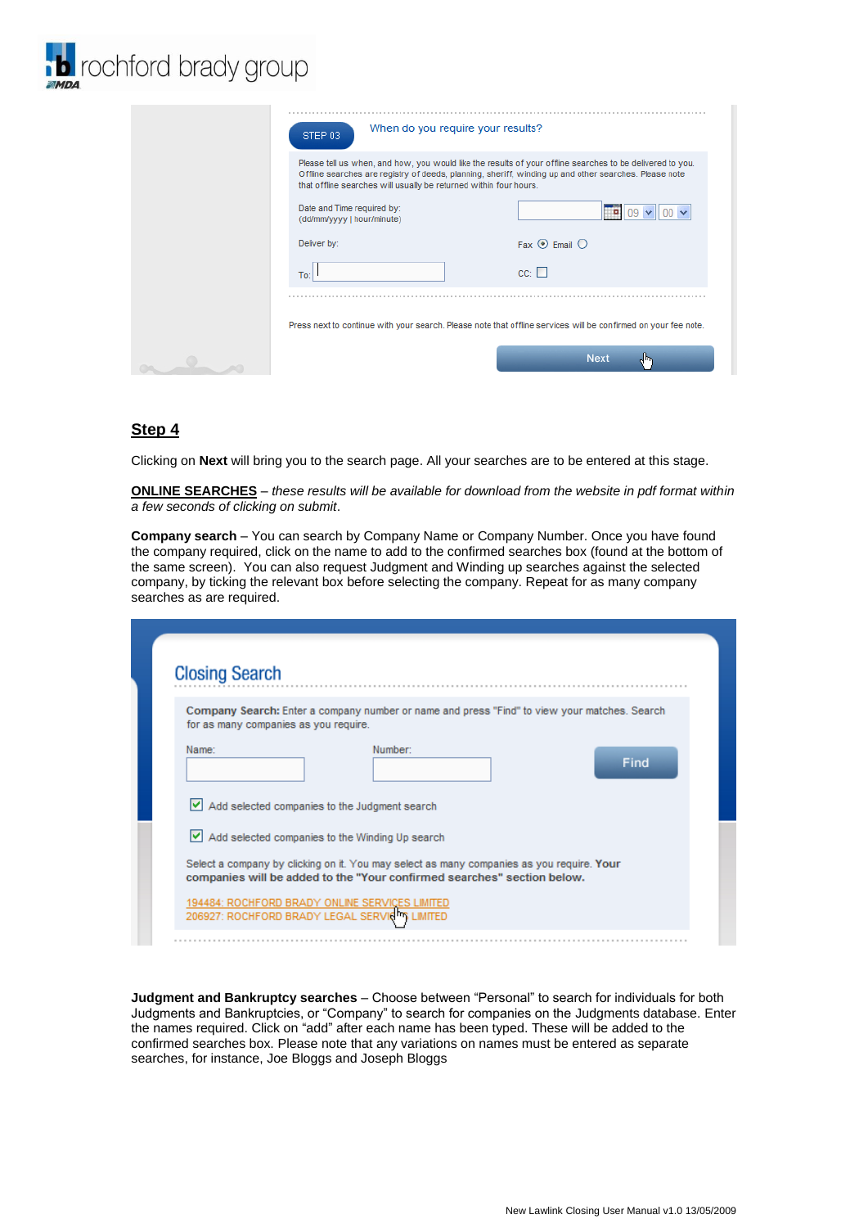

| When do you require your results?<br>STEP 03                      |                                                                                                                                                                                                                    |
|-------------------------------------------------------------------|--------------------------------------------------------------------------------------------------------------------------------------------------------------------------------------------------------------------|
| that offline searches will usually be returned within four hours. | Please tell us when, and how, you would like the results of your offline searches to be delivered to you.<br>Offline searches are registry of deeds, planning, sheriff, winding up and other searches. Please note |
| Date and Time required by:<br>(dd/mm/yyyy   hour/minute)          |                                                                                                                                                                                                                    |
| Deliver by:                                                       | Fax $\odot$ Email $\odot$                                                                                                                                                                                          |
| To:                                                               | $cc: \Box$                                                                                                                                                                                                         |
|                                                                   |                                                                                                                                                                                                                    |
|                                                                   | Press next to continue with your search. Please note that offline services will be confirmed on your fee note.                                                                                                     |
|                                                                   | <b>Next</b><br>त्राफ                                                                                                                                                                                               |

#### **Step 4**

Clicking on **Next** will bring you to the search page. All your searches are to be entered at this stage.

**ONLINE SEARCHES** – *these results will be available for download from the website in pdf format within a few seconds of clicking on submit*.

**Company search** – You can search by Company Name or Company Number. Once you have found the company required, click on the name to add to the confirmed searches box (found at the bottom of the same screen). You can also request Judgment and Winding up searches against the selected company, by ticking the relevant box before selecting the company. Repeat for as many company searches as are required.

| <b>Closing Search</b>                         |                                                                                                                                                                      |      |
|-----------------------------------------------|----------------------------------------------------------------------------------------------------------------------------------------------------------------------|------|
| for as many companies as you require.         | Company Search: Enter a company number or name and press "Find" to view your matches. Search                                                                         |      |
| Name:                                         | Number:                                                                                                                                                              | Find |
| Add selected companies to the Judgment search |                                                                                                                                                                      |      |
|                                               | $\vee$ Add selected companies to the Winding Up search                                                                                                               |      |
|                                               | Select a company by clicking on it. You may select as many companies as you require. Your<br>companies will be added to the "Your confirmed searches" section below. |      |
|                                               | 194484: ROCHFORD BRADY ONLINE SERVICES LIMITED<br>206927: ROCHFORD BRADY LEGAL SERVICITS LIMITED                                                                     |      |

**Judgment and Bankruptcy searches** – Choose between "Personal" to search for individuals for both Judgments and Bankruptcies, or "Company" to search for companies on the Judgments database. Enter the names required. Click on "add" after each name has been typed. These will be added to the confirmed searches box. Please note that any variations on names must be entered as separate searches, for instance, Joe Bloggs and Joseph Bloggs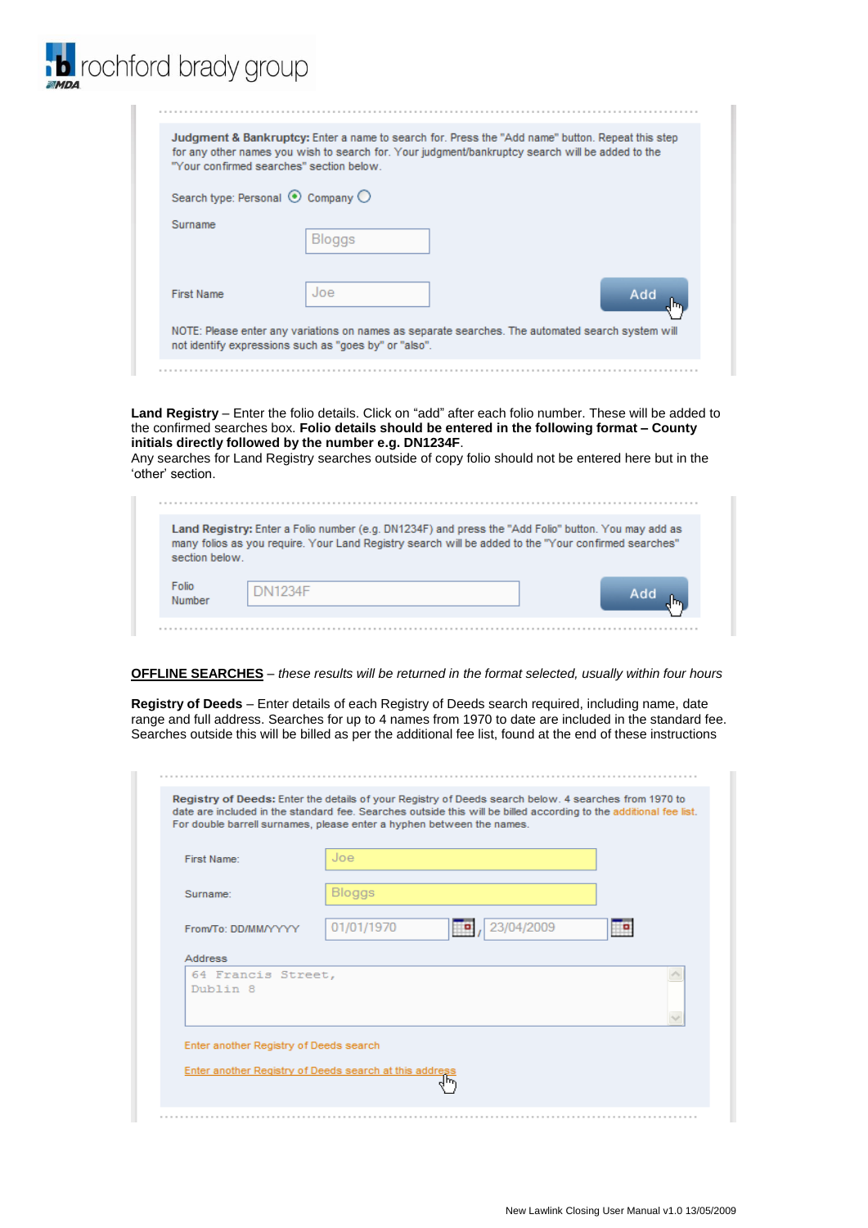| Judgment & Bankruptcy: Enter a name to search for. Press the "Add name" button. Repeat this step<br>for any other names you wish to search for. Your judgment/bankruptcy search will be added to the<br>"Your confirmed searches" section below. |                                   |                                                                                                   |  |  |
|--------------------------------------------------------------------------------------------------------------------------------------------------------------------------------------------------------------------------------------------------|-----------------------------------|---------------------------------------------------------------------------------------------------|--|--|
|                                                                                                                                                                                                                                                  | Search type: Personal © Company O |                                                                                                   |  |  |
| Surname                                                                                                                                                                                                                                          | <b>Bloggs</b>                     |                                                                                                   |  |  |
| <b>First Name</b>                                                                                                                                                                                                                                | $\log$                            | Add                                                                                               |  |  |
|                                                                                                                                                                                                                                                  |                                   | NOTE: Please enter any variations on names as separate searches. The automated search system will |  |  |

b rochford brady group

**Land Registry** – Enter the folio details. Click on "add" after each folio number. These will be added to the confirmed searches box. **Folio details should be entered in the following format – County initials directly followed by the number e.g. DN1234F**.

Any searches for Land Registry searches outside of copy folio should not be entered here but in the 'other' section.

| section below. | Land Registry: Enter a Folio number (e.g. DN1234F) and press the "Add Folio" button. You may add as<br>many folios as you require. Your Land Registry search will be added to the "Your confirmed searches" |  |
|----------------|-------------------------------------------------------------------------------------------------------------------------------------------------------------------------------------------------------------|--|
| Folio          | <b>DN1234F</b>                                                                                                                                                                                              |  |

**OFFLINE SEARCHES** – *these results will be returned in the format selected, usually within four hours* 

**Registry of Deeds** – Enter details of each Registry of Deeds search required, including name, date range and full address. Searches for up to 4 names from 1970 to date are included in the standard fee. Searches outside this will be billed as per the additional fee list, found at the end of these instructions

| First Name:                    | Joe                      |  |
|--------------------------------|--------------------------|--|
| Surname:                       | Bloggs                   |  |
| From/To: DD/MM/YYYYY           | 01/01/1970<br>23/04/2009 |  |
| <b>Address</b>                 |                          |  |
| 64 Francis Street,<br>Dublin 8 |                          |  |
|                                |                          |  |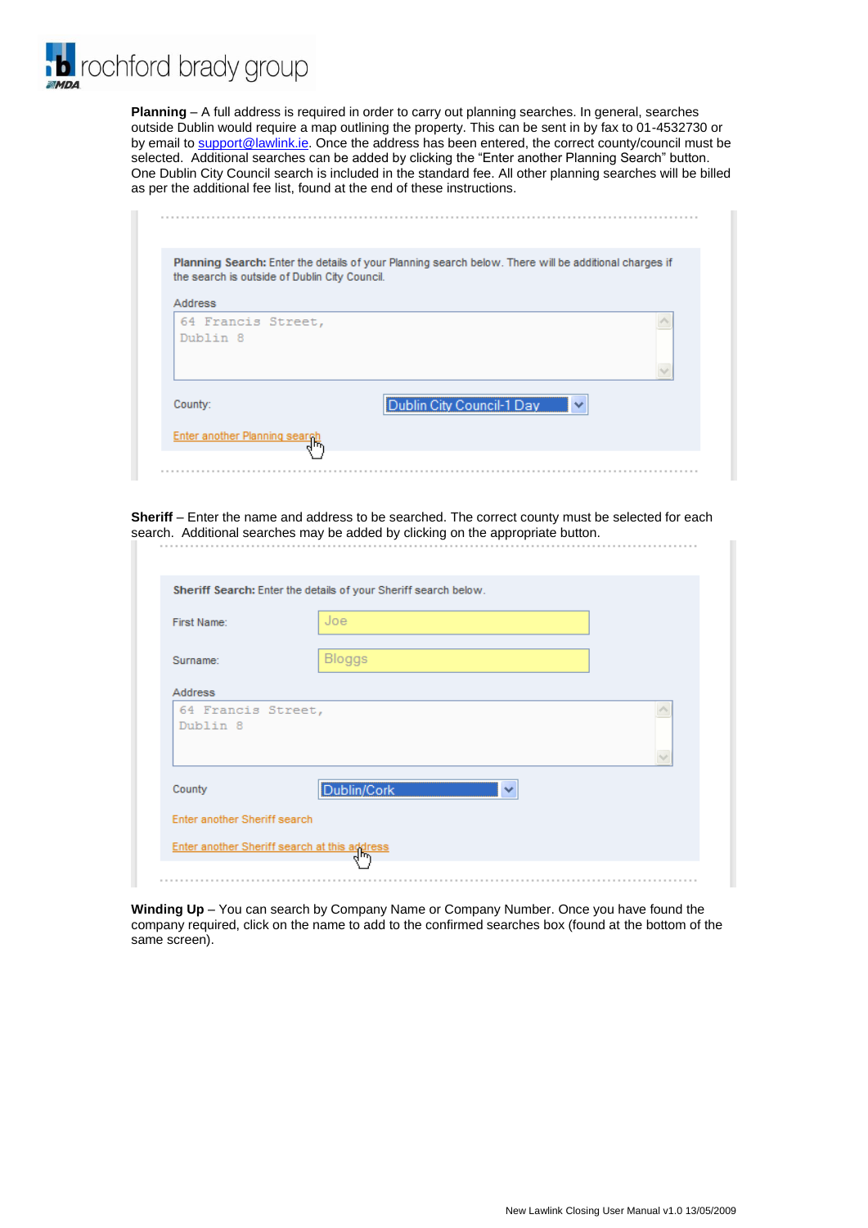rochford brady group

**Planning** – A full address is required in order to carry out planning searches. In general, searches outside Dublin would require a map outlining the property. This can be sent in by fax to 01-4532730 or by email to [support@lawlink.ie.](mailto:support@lawlink.ie) Once the address has been entered, the correct county/council must be selected. Additional searches can be added by clicking the "Enter another Planning Search" button. One Dublin City Council search is included in the standard fee. All other planning searches will be billed as per the additional fee list, found at the end of these instructions.

| the search is outside of Dublin City Council. | Planning Search: Enter the details of your Planning search below. There will be additional charges if |
|-----------------------------------------------|-------------------------------------------------------------------------------------------------------|
| <b>Address</b>                                |                                                                                                       |
| 64 Francis Street,<br>Dublin 8                |                                                                                                       |
|                                               |                                                                                                       |
| County:                                       | Dublin City Council-1 Day<br>$\checkmark$                                                             |

**Sheriff** – Enter the name and address to be searched. The correct county must be selected for each search. Additional searches may be added by clicking on the appropriate button.

| First Name:                    | Joe                         |  |
|--------------------------------|-----------------------------|--|
| Surname:                       | Bloggs                      |  |
| Address                        |                             |  |
| 64 Francis Street,<br>Dublin 8 |                             |  |
| County                         | Dublin/Cork<br>$\checkmark$ |  |
|                                |                             |  |

**Winding Up** – You can search by Company Name or Company Number. Once you have found the company required, click on the name to add to the confirmed searches box (found at the bottom of the same screen).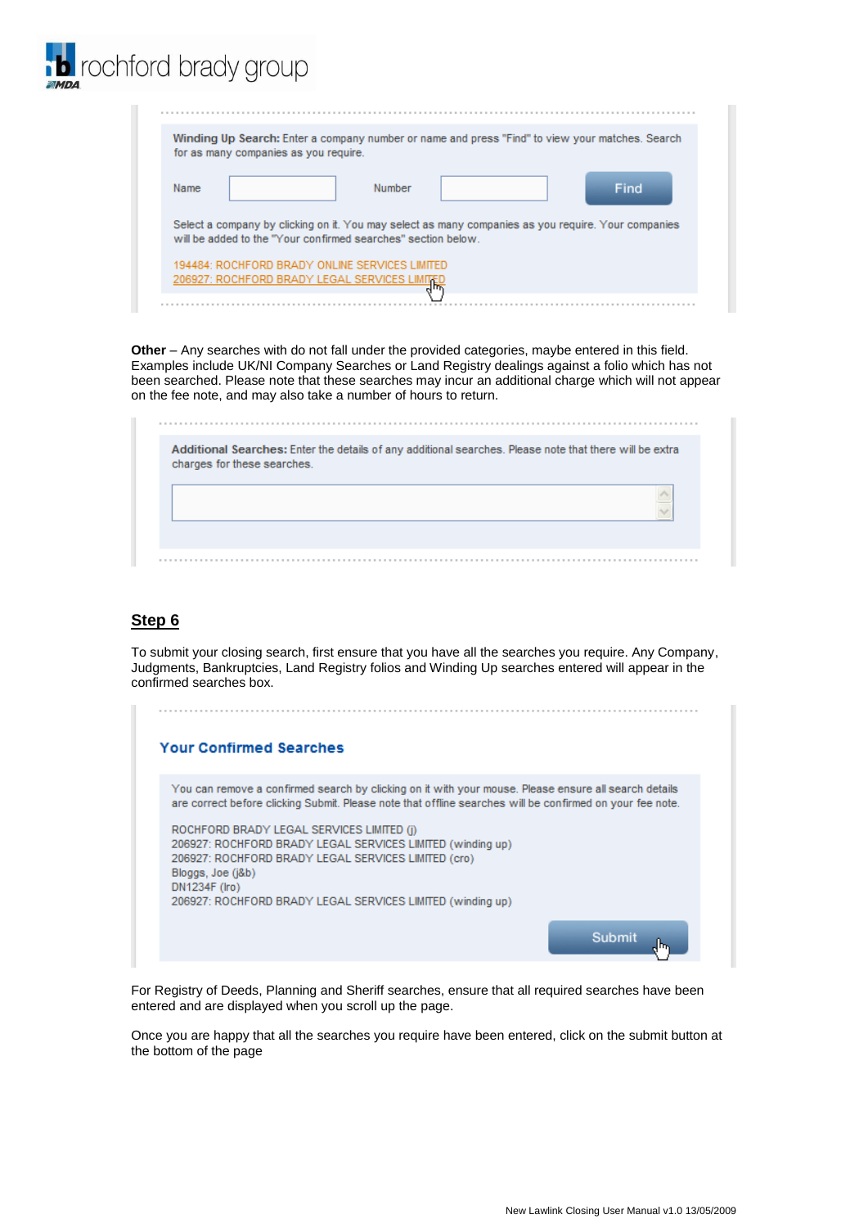| ochford brady group                                                                                                                                                  |
|----------------------------------------------------------------------------------------------------------------------------------------------------------------------|
|                                                                                                                                                                      |
| Winding Up Search: Enter a company number or name and press "Find" to view your matches. Search<br>for as many companies as you require.                             |
| Find<br>Name<br>Number                                                                                                                                               |
| Select a company by clicking on it. You may select as many companies as you require. Your companies<br>will be added to the "Your confirmed searches" section below. |
| 194484: ROCHFORD BRADY ONLINE SERVICES LIMITED<br>206927: ROCHFORD BRADY LEGAL SERVICES LIMITED                                                                      |
|                                                                                                                                                                      |

**Other** – Any searches with do not fall under the provided categories, maybe entered in this field. Examples include UK/NI Company Searches or Land Registry dealings against a folio which has not been searched. Please note that these searches may incur an additional charge which will not appear on the fee note, and may also take a number of hours to return.

| charges for these searches. |  | Additional Searches: Enter the details of any additional searches. Please note that there will be extra |
|-----------------------------|--|---------------------------------------------------------------------------------------------------------|
|                             |  |                                                                                                         |
|                             |  |                                                                                                         |
|                             |  |                                                                                                         |

#### **Step 6**

To submit your closing search, first ensure that you have all the searches you require. Any Company, Judgments, Bankruptcies, Land Registry folios and Winding Up searches entered will appear in the confirmed searches box.

| <b>Your Confirmed Searches</b>                                                                                                                                                                                                                                                                                                                                                                                                                                                                     |  |
|----------------------------------------------------------------------------------------------------------------------------------------------------------------------------------------------------------------------------------------------------------------------------------------------------------------------------------------------------------------------------------------------------------------------------------------------------------------------------------------------------|--|
| You can remove a confirmed search by clicking on it with your mouse. Please ensure all search details<br>are correct before clicking Submit. Please note that offline searches will be confirmed on your fee note.<br>ROCHFORD BRADY LEGAL SERVICES LIMITED (i)<br>206927: ROCHFORD BRADY LEGAL SERVICES LIMITED (winding up)<br>206927: ROCHFORD BRADY LEGAL SERVICES LIMITED (cro)<br>Bloggs, Joe (i&b)<br>DN1234F (Iro)<br>206927: ROCHFORD BRADY LEGAL SERVICES LIMITED (winding up)<br>Submit |  |

For Registry of Deeds, Planning and Sheriff searches, ensure that all required searches have been entered and are displayed when you scroll up the page.

Once you are happy that all the searches you require have been entered, click on the submit button at the bottom of the page